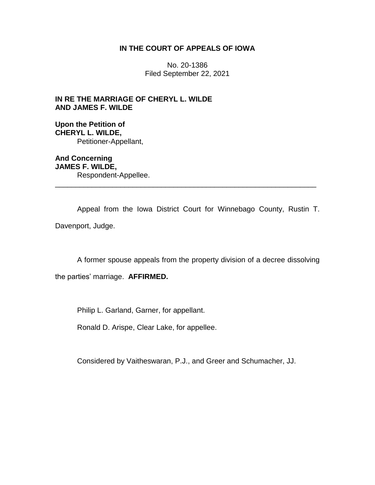# **IN THE COURT OF APPEALS OF IOWA**

No. 20-1386 Filed September 22, 2021

**IN RE THE MARRIAGE OF CHERYL L. WILDE AND JAMES F. WILDE**

**Upon the Petition of CHERYL L. WILDE,** Petitioner-Appellant,

**And Concerning JAMES F. WILDE,** Respondent-Appellee. \_\_\_\_\_\_\_\_\_\_\_\_\_\_\_\_\_\_\_\_\_\_\_\_\_\_\_\_\_\_\_\_\_\_\_\_\_\_\_\_\_\_\_\_\_\_\_\_\_\_\_\_\_\_\_\_\_\_\_\_\_\_\_\_

Appeal from the Iowa District Court for Winnebago County, Rustin T. Davenport, Judge.

A former spouse appeals from the property division of a decree dissolving

the parties' marriage. **AFFIRMED.**

Philip L. Garland, Garner, for appellant.

Ronald D. Arispe, Clear Lake, for appellee.

Considered by Vaitheswaran, P.J., and Greer and Schumacher, JJ.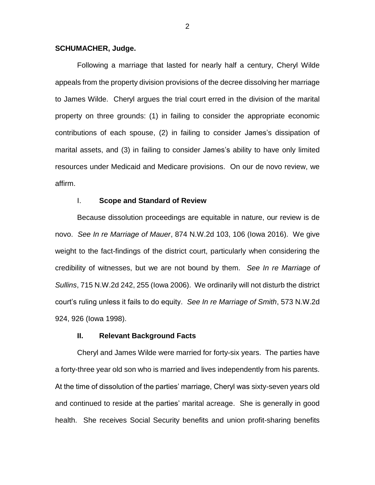#### **SCHUMACHER, Judge.**

Following a marriage that lasted for nearly half a century, Cheryl Wilde appeals from the property division provisions of the decree dissolving her marriage to James Wilde. Cheryl argues the trial court erred in the division of the marital property on three grounds: (1) in failing to consider the appropriate economic contributions of each spouse, (2) in failing to consider James's dissipation of marital assets, and (3) in failing to consider James's ability to have only limited resources under Medicaid and Medicare provisions. On our de novo review, we affirm.

## I. **Scope and Standard of Review**

Because dissolution proceedings are equitable in nature, our review is de novo. *See In re Marriage of Mauer*, 874 N.W.2d 103, 106 (Iowa 2016). We give weight to the fact-findings of the district court, particularly when considering the credibility of witnesses, but we are not bound by them. *See In re Marriage of Sullins*, 715 N.W.2d 242, 255 (Iowa 2006). We ordinarily will not disturb the district court's ruling unless it fails to do equity. *See In re Marriage of Smith*, 573 N.W.2d 924, 926 (Iowa 1998).

### **II. Relevant Background Facts**

Cheryl and James Wilde were married for forty-six years. The parties have a forty-three year old son who is married and lives independently from his parents. At the time of dissolution of the parties' marriage, Cheryl was sixty-seven years old and continued to reside at the parties' marital acreage. She is generally in good health. She receives Social Security benefits and union profit-sharing benefits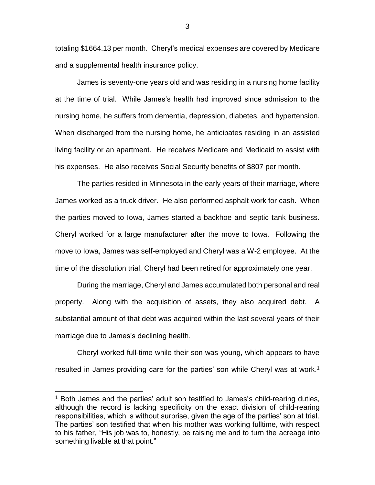totaling \$1664.13 per month. Cheryl's medical expenses are covered by Medicare and a supplemental health insurance policy.

James is seventy-one years old and was residing in a nursing home facility at the time of trial. While James's health had improved since admission to the nursing home, he suffers from dementia, depression, diabetes, and hypertension. When discharged from the nursing home, he anticipates residing in an assisted living facility or an apartment. He receives Medicare and Medicaid to assist with his expenses. He also receives Social Security benefits of \$807 per month.

The parties resided in Minnesota in the early years of their marriage, where James worked as a truck driver. He also performed asphalt work for cash. When the parties moved to Iowa, James started a backhoe and septic tank business. Cheryl worked for a large manufacturer after the move to Iowa. Following the move to Iowa, James was self-employed and Cheryl was a W-2 employee. At the time of the dissolution trial, Cheryl had been retired for approximately one year.

During the marriage, Cheryl and James accumulated both personal and real property. Along with the acquisition of assets, they also acquired debt. A substantial amount of that debt was acquired within the last several years of their marriage due to James's declining health.

Cheryl worked full-time while their son was young, which appears to have resulted in James providing care for the parties' son while Cheryl was at work. 1

 $\overline{a}$ 

<sup>&</sup>lt;sup>1</sup> Both James and the parties' adult son testified to James's child-rearing duties, although the record is lacking specificity on the exact division of child-rearing responsibilities, which is without surprise, given the age of the parties' son at trial. The parties' son testified that when his mother was working fulltime, with respect to his father, "His job was to, honestly, be raising me and to turn the acreage into something livable at that point."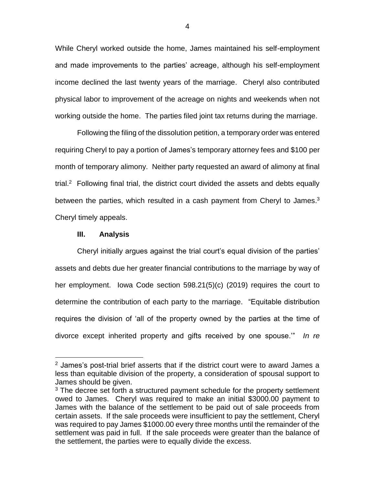While Cheryl worked outside the home, James maintained his self-employment and made improvements to the parties' acreage, although his self-employment income declined the last twenty years of the marriage. Cheryl also contributed physical labor to improvement of the acreage on nights and weekends when not working outside the home. The parties filed joint tax returns during the marriage.

Following the filing of the dissolution petition, a temporary order was entered requiring Cheryl to pay a portion of James's temporary attorney fees and \$100 per month of temporary alimony. Neither party requested an award of alimony at final trial.<sup>2</sup> Following final trial, the district court divided the assets and debts equally between the parties, which resulted in a cash payment from Cheryl to James.<sup>3</sup> Cheryl timely appeals.

#### **III. Analysis**

 $\overline{a}$ 

Cheryl initially argues against the trial court's equal division of the parties' assets and debts due her greater financial contributions to the marriage by way of her employment. Iowa Code section 598.21(5)(c) (2019) requires the court to determine the contribution of each party to the marriage. "Equitable distribution requires the division of 'all of the property owned by the parties at the time of divorce except inherited property and gifts received by one spouse.'" *In re* 

4

<sup>&</sup>lt;sup>2</sup> James's post-trial brief asserts that if the district court were to award James a less than equitable division of the property, a consideration of spousal support to James should be given.

 $3$  The decree set forth a structured payment schedule for the property settlement owed to James. Cheryl was required to make an initial \$3000.00 payment to James with the balance of the settlement to be paid out of sale proceeds from certain assets. If the sale proceeds were insufficient to pay the settlement, Cheryl was required to pay James \$1000.00 every three months until the remainder of the settlement was paid in full. If the sale proceeds were greater than the balance of the settlement, the parties were to equally divide the excess.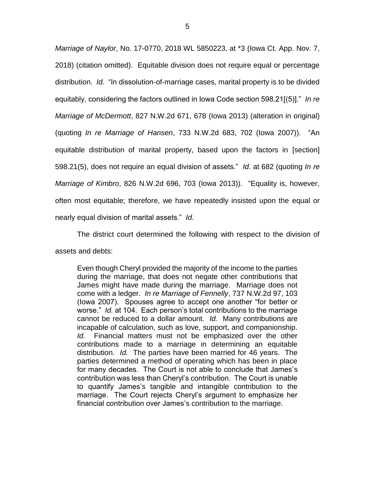*Marriage of Naylor*, No. 17-0770, 2018 WL 5850223, at \*3 (Iowa Ct. App. Nov. 7, 2018) (citation omitted). Equitable division does not require equal or percentage distribution. *Id.* "In dissolution-of-marriage cases, marital property is to be divided equitably, considering the factors outlined in Iowa Code section 598.21[(5)]." *In re Marriage of McDermott*, 827 N.W.2d 671, 678 (Iowa 2013) (alteration in original) (quoting *In re Marriage of Hansen*, 733 N.W.2d 683, 702 (Iowa 2007)). "An equitable distribution of marital property, based upon the factors in [section] 598.21(5), does not require an equal division of assets." *Id.* at 682 (quoting *In re Marriage of Kimbro*, 826 N.W.2d 696, 703 (Iowa 2013)). "Equality is, however, often most equitable; therefore, we have repeatedly insisted upon the equal or nearly equal division of marital assets." *Id.*

The district court determined the following with respect to the division of assets and debts:

Even though Cheryl provided the majority of the income to the parties during the marriage, that does not negate other contributions that James might have made during the marriage. Marriage does not come with a ledger. *In re Marriage of Fennelly*, 737 N.W.2d 97, 103 (Iowa 2007). Spouses agree to accept one another "for better or worse." *Id.* at 104. Each person's total contributions to the marriage cannot be reduced to a dollar amount. *Id.* Many contributions are incapable of calculation, such as love, support, and companionship. *Id.* Financial matters must not be emphasized over the other contributions made to a marriage in determining an equitable distribution. *Id.* The parties have been married for 46 years. The parties determined a method of operating which has been in place for many decades. The Court is not able to conclude that James's contribution was less than Cheryl's contribution. The Court is unable to quantify James's tangible and intangible contribution to the marriage. The Court rejects Cheryl's argument to emphasize her financial contribution over James's contribution to the marriage.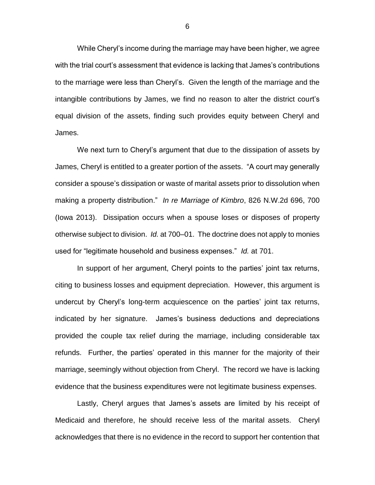While Cheryl's income during the marriage may have been higher, we agree with the trial court's assessment that evidence is lacking that James's contributions to the marriage were less than Cheryl's. Given the length of the marriage and the intangible contributions by James, we find no reason to alter the district court's equal division of the assets, finding such provides equity between Cheryl and James.

We next turn to Cheryl's argument that due to the dissipation of assets by James, Cheryl is entitled to a greater portion of the assets. "A court may generally consider a spouse's dissipation or waste of marital assets prior to dissolution when making a property distribution." *In re Marriage of Kimbro*, 826 N.W.2d 696, 700 (Iowa 2013). Dissipation occurs when a spouse loses or disposes of property otherwise subject to division. *Id.* at 700–01. The doctrine does not apply to monies used for "legitimate household and business expenses." *Id.* at 701.

In support of her argument, Cheryl points to the parties' joint tax returns, citing to business losses and equipment depreciation. However, this argument is undercut by Cheryl's long-term acquiescence on the parties' joint tax returns, indicated by her signature. James's business deductions and depreciations provided the couple tax relief during the marriage, including considerable tax refunds. Further, the parties' operated in this manner for the majority of their marriage, seemingly without objection from Cheryl. The record we have is lacking evidence that the business expenditures were not legitimate business expenses.

Lastly, Cheryl argues that James's assets are limited by his receipt of Medicaid and therefore, he should receive less of the marital assets. Cheryl acknowledges that there is no evidence in the record to support her contention that